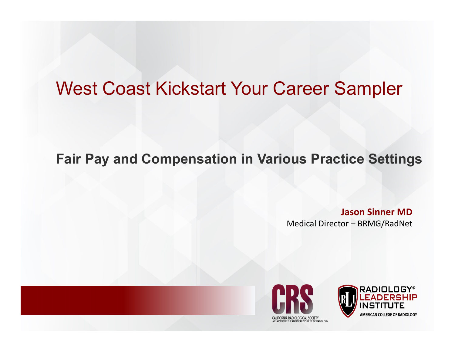## West Coast Kickstart Your Career Sampler

#### **Fair Pay and Compensation in Various Practice Settings**

**Jason Sinner MD**Medical Director – BRMG/RadNet



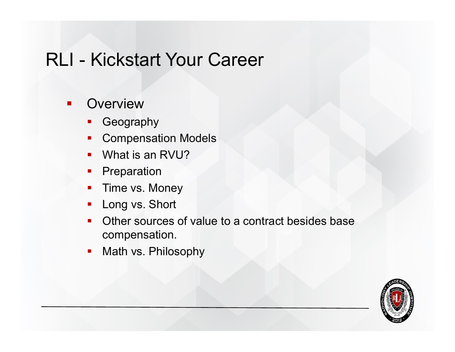#### $\blacksquare$ **Overview**

- Geography
- $\blacksquare$ Compensation Models
- п What is an RVU?
- $\mathbb{R}^n$ Preparation
- $\blacksquare$ Time vs. Money
- $\blacksquare$ Long vs. Short
- $\blacksquare$  Other sources of value to a contract besides base compensation.
- $\overline{\phantom{a}}$ Math vs. Philosophy

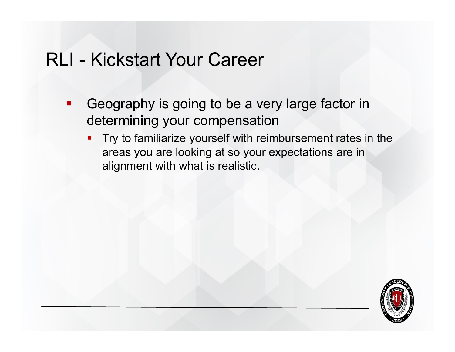- k. Geography is going to be a very large factor in determining your compensation
	- $\blacksquare$  Try to familiarize yourself with reimbursement rates in the areas you are looking at so your expectations are in alignment with what is realistic.

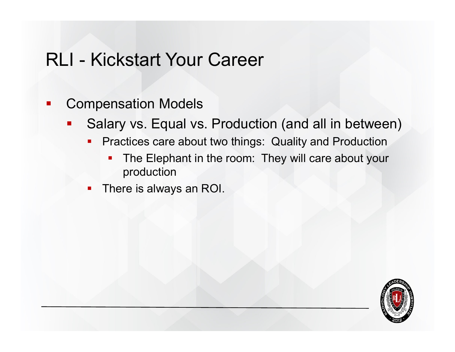#### $\mathcal{L}_{\mathcal{A}}$ Compensation Models

- b. Salary vs. Equal vs. Production (and all in between)
	- $\blacksquare$  Practices care about two things: Quality and Production
		- $\mathcal{L}_{\mathcal{A}}$  The Elephant in the room: They will care about your production
	- $\overline{\phantom{a}}$ There is always an ROI.

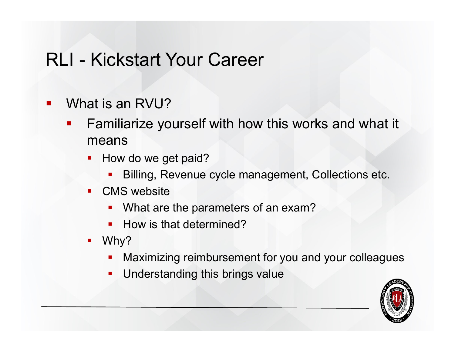- $\overline{\phantom{a}}$  What is an RVU?
	- b. Familiarize yourself with how this works and what it means
		- $\overline{\phantom{a}}$  How do we get paid?
			- F. Billing, Revenue cycle management, Collections etc.
		- **CMS** website
			- L. What are the parameters of an exam?
			- F. How is that determined?
		- $\mathcal{L}_{\mathcal{A}}$  Why?
			- $\blacksquare$ Maximizing reimbursement for you and your colleagues
			- $\mathcal{L}_{\mathcal{A}}$ Understanding this brings value

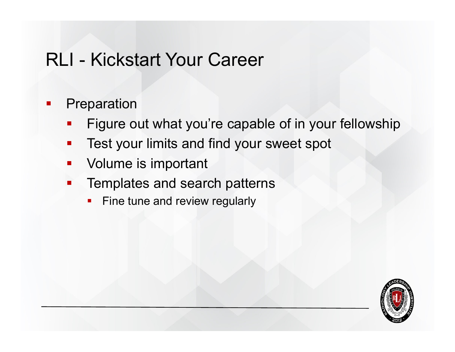#### $\mathcal{L}$ Preparation

- b. Figure out what you're capable of in your fellowship
- T. Test your limits and find your sweet spot
- T. Volume is important
- F Templates and search patterns
	- $\blacksquare$ Fine tune and review regularly

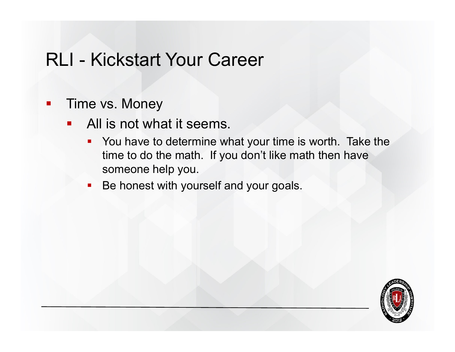#### $\mathcal{L}_{\mathcal{A}}$ Time vs. Money

- b. All is not what it seems.
	- You have to determine what your time is worth. Take the time to do the math. If you don't like math then have someone help you.
	- $\mathcal{L}_{\mathcal{A}}$ Be honest with yourself and your goals.

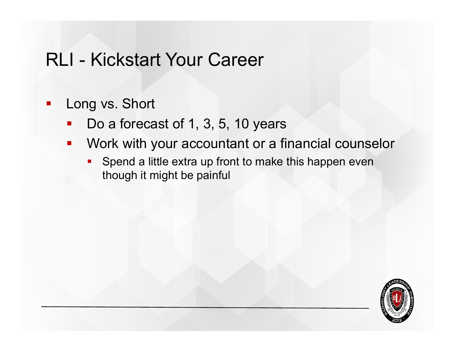- $\mathcal{L}_{\mathcal{A}}$  Long vs. Short
	- b. Do a forecast of 1, 3, 5, 10 years
	- $\mathcal{L}_{\mathcal{A}}$  Work with your accountant or a financial counselor
		- Ē Spend a little extra up front to make this happen even though it might be painful

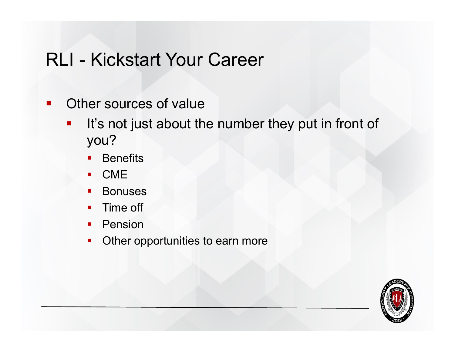- $\blacksquare$  Other sources of value
	- b. It's not just about the number they put in front of you?
		- $\blacksquare$ **Benefits**
		- $\blacksquare$ **CME**
		- $\overline{\phantom{a}}$ **Bonuses**
		- $\blacksquare$ Time off
		- $\blacksquare$ **•** Pension
		- $\blacksquare$ Other opportunities to earn more

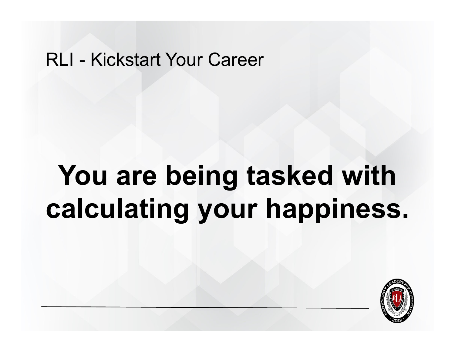## **You are being tasked with calculating your happiness.**

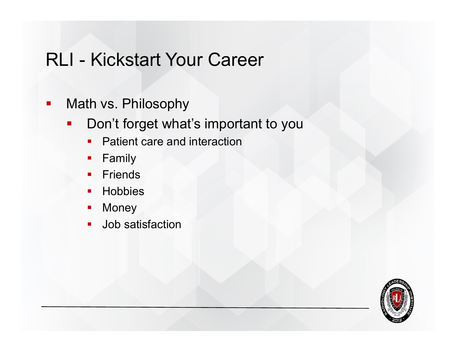- $\mathcal{L}_{\mathcal{A}}$  Math vs. Philosophy
	- $\mathcal{L}_{\mathcal{A}}$  Don't forget what's important to you
		- $\blacksquare$ **•** Patient care and interaction
		- $\blacksquare$ Family
		- $\blacksquare$ **Friends**
		- $\blacksquare$ **-** Hobbies
		- $\overline{\phantom{a}}$ Money
		- $\blacksquare$ Job satisfaction

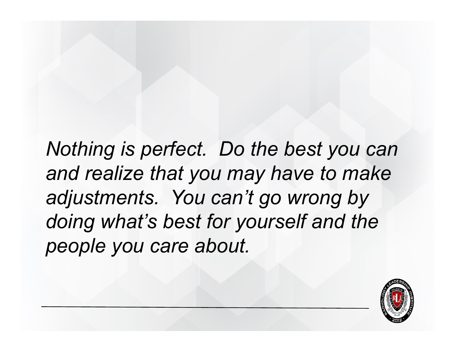*Nothing is perfect. Do the best you can and realize that you may have to make adjustments. You can't go wrong by doing what's best for yourself and the people you care about.*